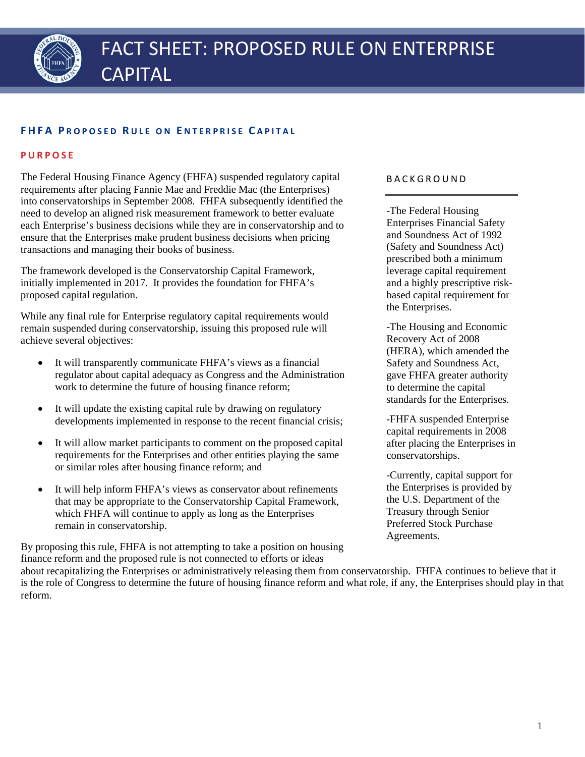

### **FHFA P ROPOSED R ULE ON E NTERPRISE C APITAL**

#### **PURPOSE**

The Federal Housing Finance Agency (FHFA) suspended regulatory capital requirements after placing Fannie Mae and Freddie Mac (the Enterprises) into conservatorships in September 2008. FHFA subsequently identified the need to develop an aligned risk measurement framework to better evaluate each Enterprise's business decisions while they are in conservatorship and to ensure that the Enterprises make prudent business decisions when pricing transactions and managing their books of business.

The framework developed is the Conservatorship Capital Framework, initially implemented in 2017. It provides the foundation for FHFA's proposed capital regulation.

While any final rule for Enterprise regulatory capital requirements would remain suspended during conservatorship, issuing this proposed rule will achieve several objectives:

- It will transparently communicate FHFA's views as a financial regulator about capital adequacy as Congress and the Administration work to determine the future of housing finance reform;
- It will update the existing capital rule by drawing on regulatory developments implemented in response to the recent financial crisis;
- It will allow market participants to comment on the proposed capital requirements for the Enterprises and other entities playing the same or similar roles after housing finance reform; and
- It will help inform FHFA's views as conservator about refinements that may be appropriate to the Conservatorship Capital Framework, which FHFA will continue to apply as long as the Enterprises remain in conservatorship.

By proposing this rule, FHFA is not attempting to take a position on housing finance reform and the proposed rule is not connected to efforts or ideas

#### BACKGROUND

-The Federal Housing Enterprises Financial Safety and Soundness Act of 1992 (Safety and Soundness Act) prescribed both a minimum leverage capital requirement and a highly prescriptive riskbased capital requirement for the Enterprises.

-The Housing and Economic Recovery Act of 2008 (HERA), which amended the Safety and Soundness Act, gave FHFA greater authority to determine the capital standards for the Enterprises.

-FHFA suspended Enterprise capital requirements in 2008 after placing the Enterprises in conservatorships.

-Currently, capital support for the Enterprises is provided by the U.S. Department of the Treasury through Senior Preferred Stock Purchase Agreements.

about recapitalizing the Enterprises or administratively releasing them from conservatorship. FHFA continues to believe that it is the role of Congress to determine the future of housing finance reform and what role, if any, the Enterprises should play in that reform.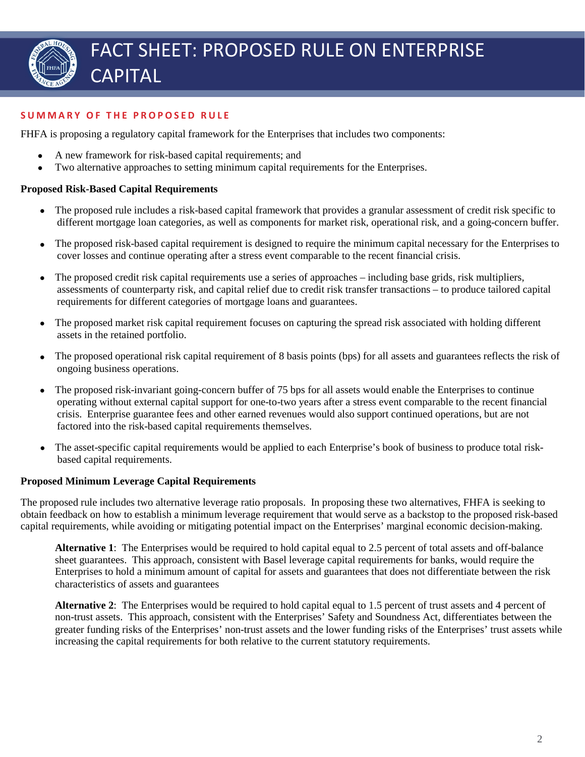

# **SUMMARY OF THE PROPOSED RULE**

FHFA is proposing a regulatory capital framework for the Enterprises that includes two components:

- A new framework for risk-based capital requirements; and
- Two alternative approaches to setting minimum capital requirements for the Enterprises.

### **Proposed Risk-Based Capital Requirements**

- The proposed rule includes a risk-based capital framework that provides a granular assessment of credit risk specific to different mortgage loan categories, as well as components for market risk, operational risk, and a going-concern buffer.
- The proposed risk-based capital requirement is designed to require the minimum capital necessary for the Enterprises to cover losses and continue operating after a stress event comparable to the recent financial crisis.
- The proposed credit risk capital requirements use a series of approaches including base grids, risk multipliers, assessments of counterparty risk, and capital relief due to credit risk transfer transactions – to produce tailored capital requirements for different categories of mortgage loans and guarantees.
- The proposed market risk capital requirement focuses on capturing the spread risk associated with holding different assets in the retained portfolio.
- The proposed operational risk capital requirement of 8 basis points (bps) for all assets and guarantees reflects the risk of ongoing business operations.
- The proposed risk-invariant going-concern buffer of 75 bps for all assets would enable the Enterprises to continue operating without external capital support for one-to-two years after a stress event comparable to the recent financial crisis. Enterprise guarantee fees and other earned revenues would also support continued operations, but are not factored into the risk-based capital requirements themselves.
- The asset-specific capital requirements would be applied to each Enterprise's book of business to produce total riskbased capital requirements.

# **Proposed Minimum Leverage Capital Requirements**

The proposed rule includes two alternative leverage ratio proposals. In proposing these two alternatives, FHFA is seeking to obtain feedback on how to establish a minimum leverage requirement that would serve as a backstop to the proposed risk-based capital requirements, while avoiding or mitigating potential impact on the Enterprises' marginal economic decision-making.

**Alternative 1**: The Enterprises would be required to hold capital equal to 2.5 percent of total assets and off-balance sheet guarantees. This approach, consistent with Basel leverage capital requirements for banks, would require the Enterprises to hold a minimum amount of capital for assets and guarantees that does not differentiate between the risk characteristics of assets and guarantees

**Alternative 2**: The Enterprises would be required to hold capital equal to 1.5 percent of trust assets and 4 percent of non-trust assets. This approach, consistent with the Enterprises' Safety and Soundness Act, differentiates between the greater funding risks of the Enterprises' non-trust assets and the lower funding risks of the Enterprises' trust assets while increasing the capital requirements for both relative to the current statutory requirements.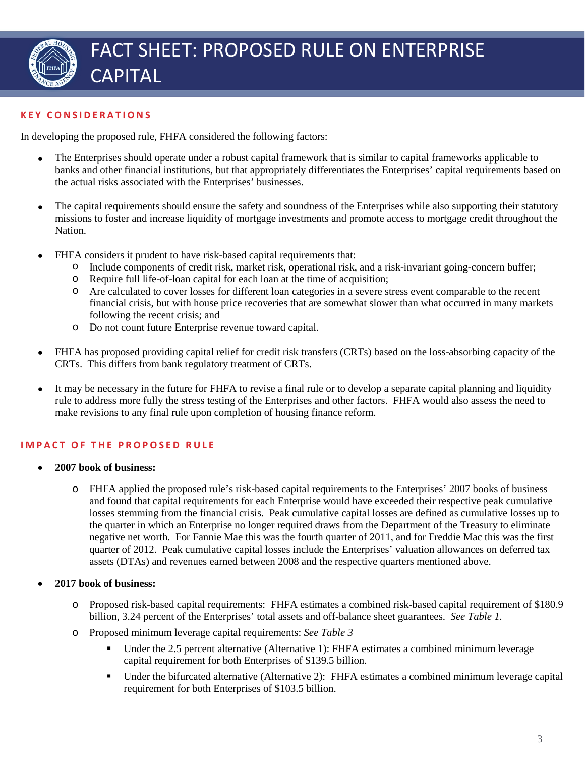

# **KEY CONSIDERATIONS**

In developing the proposed rule, FHFA considered the following factors:

- The Enterprises should operate under a robust capital framework that is similar to capital frameworks applicable to banks and other financial institutions, but that appropriately differentiates the Enterprises' capital requirements based on the actual risks associated with the Enterprises' businesses.
- The capital requirements should ensure the safety and soundness of the Enterprises while also supporting their statutory missions to foster and increase liquidity of mortgage investments and promote access to mortgage credit throughout the Nation.
- FHFA considers it prudent to have risk-based capital requirements that:
	- o Include components of credit risk, market risk, operational risk, and a risk-invariant going-concern buffer;
	- o Require full life-of-loan capital for each loan at the time of acquisition;
	- o Are calculated to cover losses for different loan categories in a severe stress event comparable to the recent financial crisis, but with house price recoveries that are somewhat slower than what occurred in many markets following the recent crisis; and
	- o Do not count future Enterprise revenue toward capital.
- FHFA has proposed providing capital relief for credit risk transfers (CRTs) based on the loss-absorbing capacity of the CRTs. This differs from bank regulatory treatment of CRTs.
- It may be necessary in the future for FHFA to revise a final rule or to develop a separate capital planning and liquidity rule to address more fully the stress testing of the Enterprises and other factors. FHFA would also assess the need to make revisions to any final rule upon completion of housing finance reform.

# **IMPACT OF THE PROPOSED RULE**

- **2007 book of business:** 
	- o FHFA applied the proposed rule's risk-based capital requirements to the Enterprises' 2007 books of business and found that capital requirements for each Enterprise would have exceeded their respective peak cumulative losses stemming from the financial crisis. Peak cumulative capital losses are defined as cumulative losses up to the quarter in which an Enterprise no longer required draws from the Department of the Treasury to eliminate negative net worth. For Fannie Mae this was the fourth quarter of 2011, and for Freddie Mac this was the first quarter of 2012. Peak cumulative capital losses include the Enterprises' valuation allowances on deferred tax assets (DTAs) and revenues earned between 2008 and the respective quarters mentioned above.

# • **2017 book of business:**

- o Proposed risk-based capital requirements: FHFA estimates a combined risk-based capital requirement of \$180.9 billion, 3.24 percent of the Enterprises' total assets and off-balance sheet guarantees. *See Table 1.*
- o Proposed minimum leverage capital requirements: *See Table 3*
	- Under the 2.5 percent alternative (Alternative 1): FHFA estimates a combined minimum leverage capital requirement for both Enterprises of \$139.5 billion.
	- Under the bifurcated alternative (Alternative 2): FHFA estimates a combined minimum leverage capital requirement for both Enterprises of \$103.5 billion.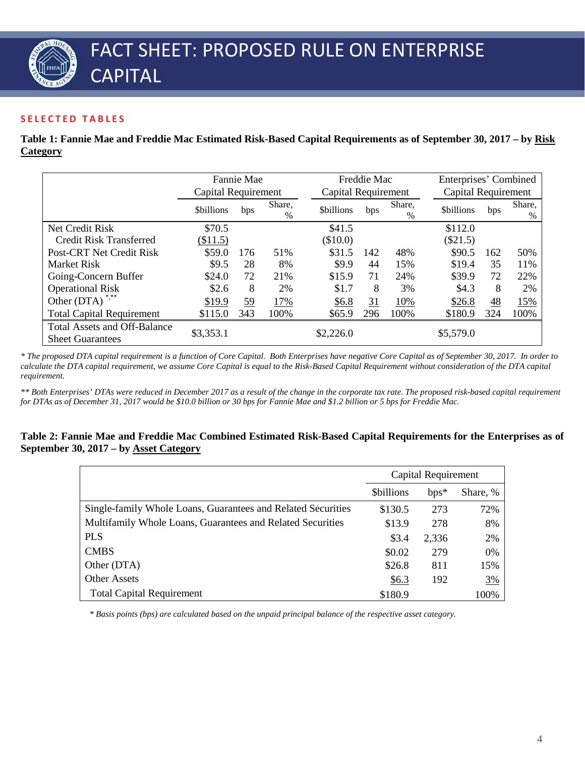### **SELECTED TABLES**

**Table 1: Fannie Mae and Freddie Mac Estimated Risk-Based Capital Requirements as of September 30, 2017 – by Risk Category**

|                                                                | Fannie Mae          |           |             |                     | Freddie Mac<br>Capital Requirement |             |                  | Enterprises' Combined |             |  |
|----------------------------------------------------------------|---------------------|-----------|-------------|---------------------|------------------------------------|-------------|------------------|-----------------------|-------------|--|
|                                                                | Capital Requirement |           |             | Capital Requirement |                                    |             |                  |                       |             |  |
|                                                                | <b>Sbillions</b>    | bps       | Share,<br>% | <b>Sbillions</b>    | bps                                | Share,<br>% | <b>Sbillions</b> | bps                   | Share,<br>% |  |
| Net Credit Risk                                                | \$70.5              |           |             | \$41.5              |                                    |             | \$112.0          |                       |             |  |
| <b>Credit Risk Transferred</b>                                 | \$11.5)             |           |             | $(\$10.0)$          |                                    |             | $(\$21.5)$       |                       |             |  |
| Post-CRT Net Credit Risk                                       | \$59.0              | 176       | 51%         | \$31.5              | 142                                | 48%         | \$90.5           | 162                   | 50%         |  |
| <b>Market Risk</b>                                             | \$9.5               | 28        | 8%          | \$9.9               | 44                                 | 15%         | \$19.4           | 35                    | 11%         |  |
| Going-Concern Buffer                                           | \$24.0              | 72        | 21%         | \$15.9              | 71                                 | 24%         | \$39.9           | 72                    | 22%         |  |
| <b>Operational Risk</b>                                        | \$2.6               | 8         | 2%          | \$1.7               | 8                                  | 3%          | \$4.3            | 8                     | 2%          |  |
| Other (DTA) <sup>*,**</sup>                                    | \$19.9              | <u>59</u> | 17%         | \$6.8               | $\overline{31}$                    | 10%         | \$26.8           | 48                    | 15%         |  |
| <b>Total Capital Requirement</b>                               | \$115.0             | 343       | 100%        | \$65.9              | 296                                | 100%        | \$180.9          | 324                   | 100%        |  |
| <b>Total Assets and Off-Balance</b><br><b>Sheet Guarantees</b> | \$3,353.1           |           |             | \$2,226.0           |                                    |             | \$5,579.0        |                       |             |  |

*\* The proposed DTA capital requirement is a function of Core Capital. Both Enterprises have negative Core Capital as of September 30, 2017. In order to calculate the DTA capital requirement, we assume Core Capital is equal to the Risk-Based Capital Requirement without consideration of the DTA capital requirement.*

*\*\* Both Enterprises' DTAs were reduced in December 2017 as a result of the change in the corporate tax rate. The proposed risk-based capital requirement for DTAs as of December 31, 2017 would be \$10.0 billion or 30 bps for Fannie Mae and \$1.2 billion or 5 bps for Freddie Mac.*

#### **Table 2: Fannie Mae and Freddie Mac Combined Estimated Risk-Based Capital Requirements for the Enterprises as of September 30, 2017 – by Asset Category**

|                                                              | Capital Requirement |        |          |  |
|--------------------------------------------------------------|---------------------|--------|----------|--|
|                                                              | <b>Sbillions</b>    | $bps*$ | Share, % |  |
| Single-family Whole Loans, Guarantees and Related Securities | \$130.5             | 273    | 72%      |  |
| Multifamily Whole Loans, Guarantees and Related Securities   | \$13.9              | 278    | 8%       |  |
| <b>PLS</b>                                                   | \$3.4               | 2,336  | 2%       |  |
| <b>CMBS</b>                                                  | \$0.02              | 279    | 0%       |  |
| Other (DTA)                                                  | \$26.8              | 811    | 15%      |  |
| <b>Other Assets</b>                                          | \$6.3               | 192    | 3%       |  |
| <b>Total Capital Requirement</b>                             | \$180.9             |        | 100%     |  |

*\* Basis points (bps) are calculated based on the unpaid principal balance of the respective asset category.*